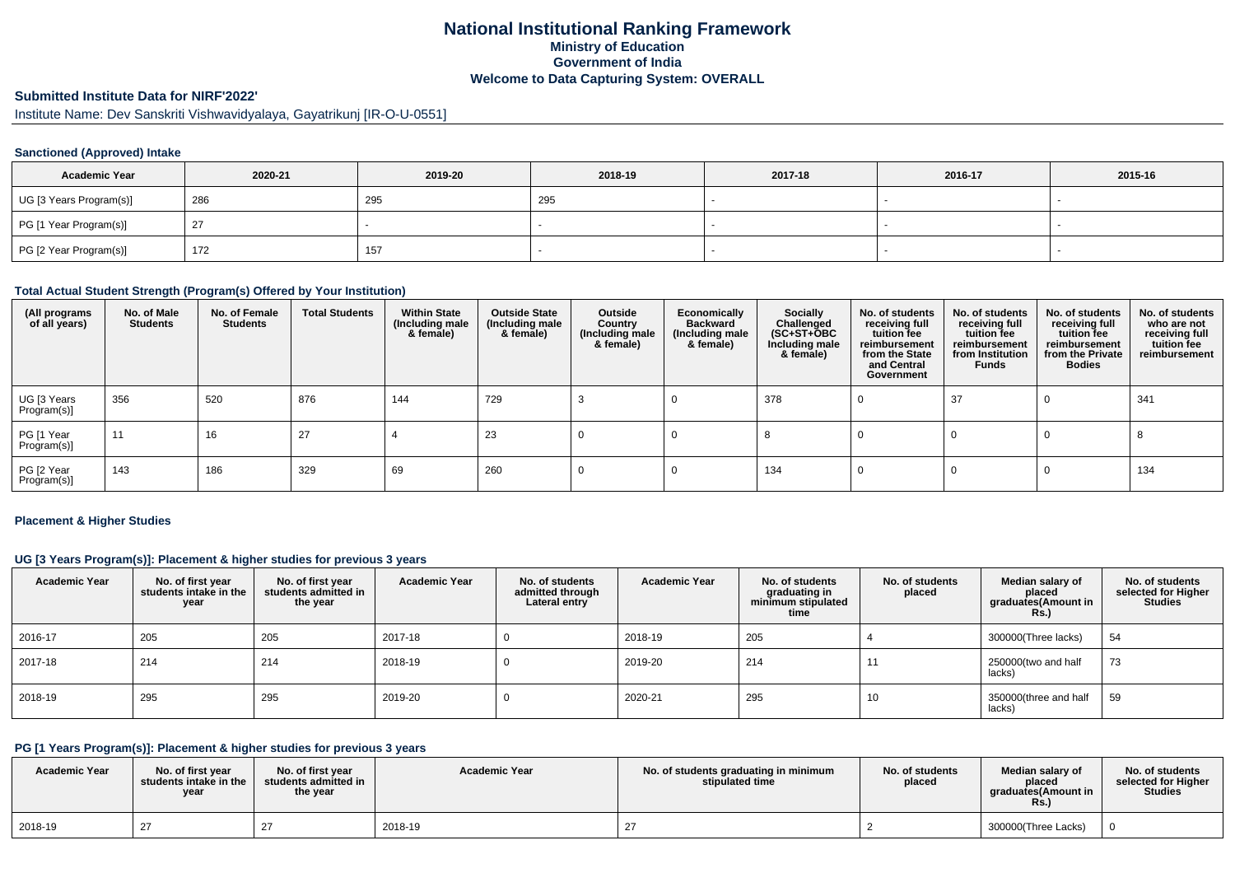# **National Institutional Ranking FrameworkMinistry of Education Government of IndiaWelcome to Data Capturing System: OVERALL**

# **Submitted Institute Data for NIRF'2022'**

Institute Name: Dev Sanskriti Vishwavidyalaya, Gayatrikunj [IR-O-U-0551]

### **Sanctioned (Approved) Intake**

| <b>Academic Year</b>    | 2020-21 | 2019-20 | 2018-19 | 2017-18 | 2016-17 | 2015-16 |
|-------------------------|---------|---------|---------|---------|---------|---------|
| UG [3 Years Program(s)] | 286     | 295     | 295     |         |         |         |
| PG [1 Year Program(s)]  | 27      |         |         |         |         |         |
| PG [2 Year Program(s)]  | 172     | 157     |         |         |         |         |

#### **Total Actual Student Strength (Program(s) Offered by Your Institution)**

| (All programs<br>of all years) | No. of Male<br><b>Students</b> | No. of Female<br><b>Students</b> | <b>Total Students</b> | <b>Within State</b><br>(Including male<br>& female) | <b>Outside State</b><br>(Including male<br>& female) | Outside<br>Country<br>(Including male<br>& female) | Economically<br><b>Backward</b><br>(Including male<br>& female) | Socially<br>Challenged<br>$(SC+ST+\text{O}BC)$<br>Including male<br>& female) | No. of students<br>receiving full<br>tuition fee<br>reimbursement<br>from the State<br>and Central<br>Government | No. of students<br>receiving full<br>tuition fee<br>reimbursement<br>from Institution<br><b>Funds</b> | No. of students<br>receiving full<br>tuition fee<br>reimbursement<br>from the Private<br><b>Bodies</b> | No. of students<br>who are not<br>receiving full<br>tuition fee<br>reimbursement |
|--------------------------------|--------------------------------|----------------------------------|-----------------------|-----------------------------------------------------|------------------------------------------------------|----------------------------------------------------|-----------------------------------------------------------------|-------------------------------------------------------------------------------|------------------------------------------------------------------------------------------------------------------|-------------------------------------------------------------------------------------------------------|--------------------------------------------------------------------------------------------------------|----------------------------------------------------------------------------------|
| UG [3 Years<br>Program(s)]     | 356                            | 520                              | 876                   | 144                                                 | 729                                                  |                                                    |                                                                 | 378                                                                           |                                                                                                                  | 37                                                                                                    |                                                                                                        | 341                                                                              |
| PG [1 Year<br>Program(s)]      | 11                             | 16                               | 27                    |                                                     | 23                                                   |                                                    |                                                                 |                                                                               |                                                                                                                  |                                                                                                       |                                                                                                        |                                                                                  |
| PG [2 Year<br>Program(s)]      | 143                            | 186                              | 329                   | 69                                                  | 260                                                  |                                                    |                                                                 | 134                                                                           |                                                                                                                  |                                                                                                       |                                                                                                        | 134                                                                              |

#### **Placement & Higher Studies**

### **UG [3 Years Program(s)]: Placement & higher studies for previous 3 years**

| <b>Academic Year</b> | No. of first year<br>students intake in the<br>year | No. of first year<br>students admitted in<br>the year | <b>Academic Year</b> | No. of students<br>admitted through<br>Lateral entry | <b>Academic Year</b> | No. of students<br>graduating in<br>minimum stipulated<br>time | No. of students<br>placed | Median salary of<br>placed<br>graduates(Amount in<br>R <sub>s</sub> | No. of students<br>selected for Higher<br><b>Studies</b> |
|----------------------|-----------------------------------------------------|-------------------------------------------------------|----------------------|------------------------------------------------------|----------------------|----------------------------------------------------------------|---------------------------|---------------------------------------------------------------------|----------------------------------------------------------|
| 2016-17              | 205                                                 | 205                                                   | 2017-18              |                                                      | 2018-19              | 205                                                            |                           | 300000(Three lacks)                                                 | 54                                                       |
| 2017-18              | 214                                                 | 214                                                   | 2018-19              |                                                      | 2019-20              | 214                                                            |                           | 250000(two and half<br>lacks)                                       | 73                                                       |
| 2018-19              | 295                                                 | 295                                                   | 2019-20              |                                                      | 2020-21              | 295                                                            | 10                        | 350000(three and half<br>lacks)                                     | 59                                                       |

### **PG [1 Years Program(s)]: Placement & higher studies for previous 3 years**

| <b>Academic Year</b> | No. of first vear<br>students intake in the<br>year | No. of first vear<br>students admitted in<br>the year | <b>Academic Year</b> | No. of students graduating in minimum<br>stipulated time | No. of students<br>placed | Median salary of<br>placed<br>araduates(Amount in<br>Rs. | No. of students<br>selected for Higher<br><b>Studies</b> |
|----------------------|-----------------------------------------------------|-------------------------------------------------------|----------------------|----------------------------------------------------------|---------------------------|----------------------------------------------------------|----------------------------------------------------------|
| 2018-19              |                                                     |                                                       | 2018-19              |                                                          |                           | 300000(Three Lacks)                                      |                                                          |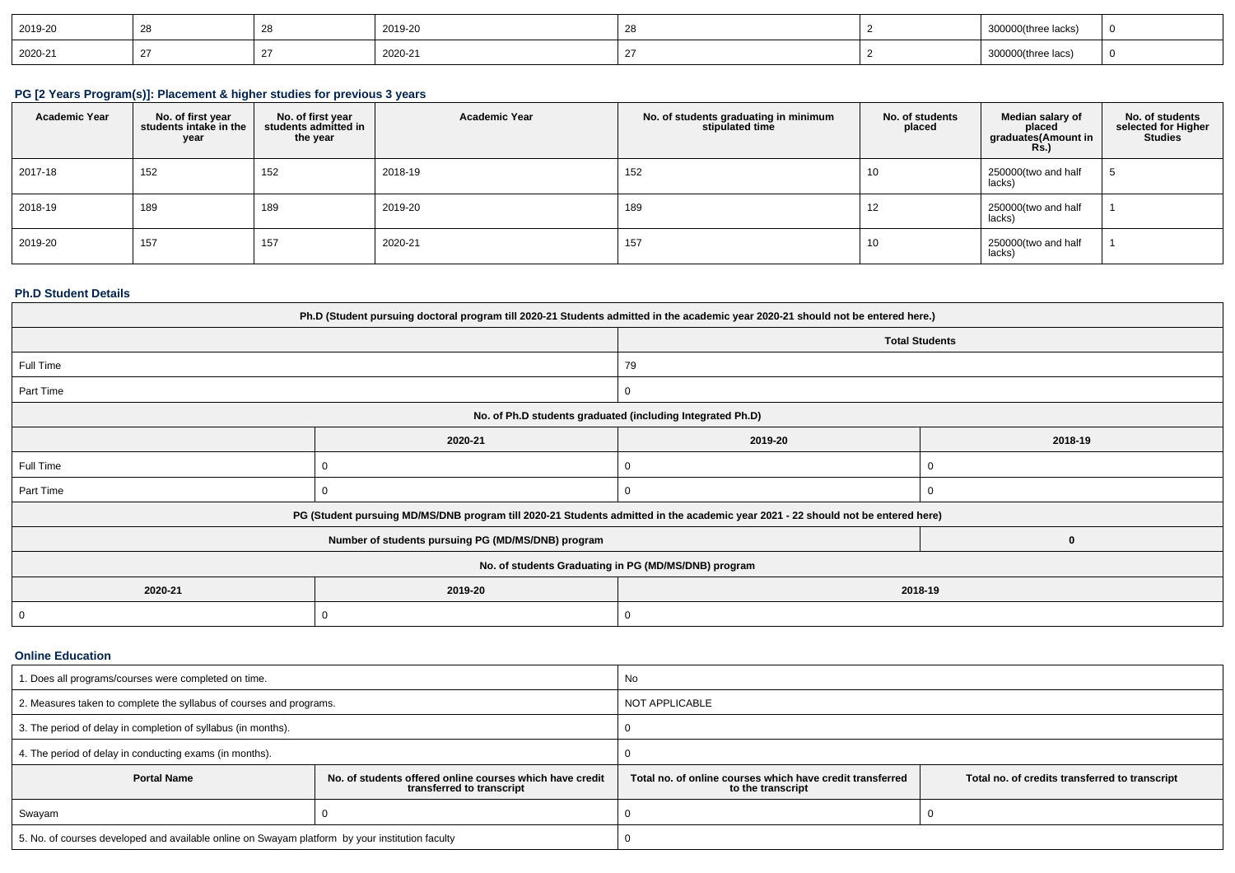| 2019-20 |  | 2019-20 |  | e lacks).                                                                |  |
|---------|--|---------|--|--------------------------------------------------------------------------|--|
| 2020-21 |  | 2020-21 |  | O(three lacs,<br>uuuu<br>the contract of the contract of the contract of |  |

### **PG [2 Years Program(s)]: Placement & higher studies for previous 3 years**

| <b>Academic Year</b> | No. of first year<br>students intake in the<br>year | No. of first year<br>students admitted in<br>the year | <b>Academic Year</b> | No. of students graduating in minimum<br>stipulated time | No. of students<br>placed | Median salary of<br>placed<br>graduates(Amount in<br><b>Rs.)</b> | No. of students<br>selected for Higher<br><b>Studies</b> |
|----------------------|-----------------------------------------------------|-------------------------------------------------------|----------------------|----------------------------------------------------------|---------------------------|------------------------------------------------------------------|----------------------------------------------------------|
| 2017-18              | 152                                                 | 152                                                   | 2018-19              | 152                                                      | 10                        | 250000(two and half<br>lacks)                                    |                                                          |
| 2018-19              | 189                                                 | 189                                                   | 2019-20              | 189                                                      | 12                        | 250000(two and half<br>lacks)                                    |                                                          |
| 2019-20              | 157                                                 | 157                                                   | 2020-21              | 157                                                      | 10                        | 250000(two and half<br>lacks)                                    |                                                          |

### **Ph.D Student Details**

| Ph.D (Student pursuing doctoral program till 2020-21 Students admitted in the academic year 2020-21 should not be entered here.) |                                                                                                                                  |                       |         |  |  |  |  |
|----------------------------------------------------------------------------------------------------------------------------------|----------------------------------------------------------------------------------------------------------------------------------|-----------------------|---------|--|--|--|--|
|                                                                                                                                  |                                                                                                                                  | <b>Total Students</b> |         |  |  |  |  |
| Full Time                                                                                                                        |                                                                                                                                  | 79                    |         |  |  |  |  |
| Part Time                                                                                                                        |                                                                                                                                  | 0                     |         |  |  |  |  |
|                                                                                                                                  | No. of Ph.D students graduated (including Integrated Ph.D)                                                                       |                       |         |  |  |  |  |
|                                                                                                                                  | 2020-21                                                                                                                          | 2019-20               | 2018-19 |  |  |  |  |
| Full Time                                                                                                                        | U                                                                                                                                |                       |         |  |  |  |  |
| Part Time                                                                                                                        |                                                                                                                                  |                       |         |  |  |  |  |
|                                                                                                                                  | PG (Student pursuing MD/MS/DNB program till 2020-21 Students admitted in the academic year 2021 - 22 should not be entered here) |                       |         |  |  |  |  |
|                                                                                                                                  | Number of students pursuing PG (MD/MS/DNB) program                                                                               |                       | o       |  |  |  |  |
| No. of students Graduating in PG (MD/MS/DNB) program                                                                             |                                                                                                                                  |                       |         |  |  |  |  |
| 2020-21                                                                                                                          | 2019-20                                                                                                                          | 2018-19               |         |  |  |  |  |
| 0                                                                                                                                |                                                                                                                                  | 0                     |         |  |  |  |  |

#### **Online Education**

| 1. Does all programs/courses were completed on time.                                                        |  | No                                                                                                                               |  |  |
|-------------------------------------------------------------------------------------------------------------|--|----------------------------------------------------------------------------------------------------------------------------------|--|--|
| 2. Measures taken to complete the syllabus of courses and programs.                                         |  | <b>NOT APPLICABLE</b>                                                                                                            |  |  |
| 3. The period of delay in completion of syllabus (in months).                                               |  |                                                                                                                                  |  |  |
| 4. The period of delay in conducting exams (in months).                                                     |  |                                                                                                                                  |  |  |
| <b>Portal Name</b><br>No. of students offered online courses which have credit<br>transferred to transcript |  | Total no, of online courses which have credit transferred<br>Total no. of credits transferred to transcript<br>to the transcript |  |  |
| Swayam                                                                                                      |  |                                                                                                                                  |  |  |
| 5. No. of courses developed and available online on Swayam platform by your institution faculty             |  |                                                                                                                                  |  |  |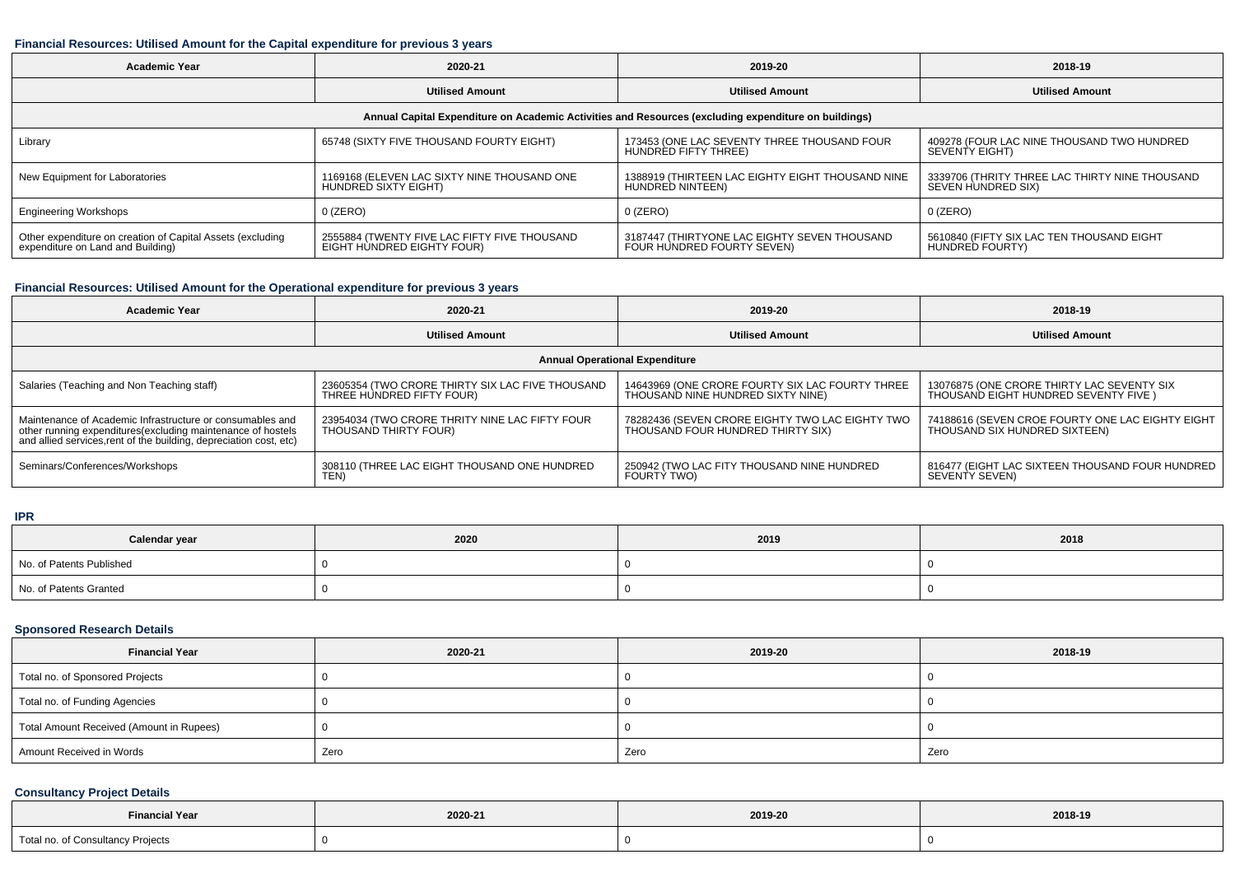### **Financial Resources: Utilised Amount for the Capital expenditure for previous 3 years**

| <b>Academic Year</b>                                                                                 | 2020-21                                                                    | 2019-20                                                                    | 2018-19                                                              |  |  |  |
|------------------------------------------------------------------------------------------------------|----------------------------------------------------------------------------|----------------------------------------------------------------------------|----------------------------------------------------------------------|--|--|--|
|                                                                                                      | <b>Utilised Amount</b>                                                     | <b>Utilised Amount</b>                                                     | <b>Utilised Amount</b>                                               |  |  |  |
| Annual Capital Expenditure on Academic Activities and Resources (excluding expenditure on buildings) |                                                                            |                                                                            |                                                                      |  |  |  |
| Library                                                                                              | 65748 (SIXTY FIVE THOUSAND FOURTY EIGHT)                                   | 173453 (ONE LAC SEVENTY THREE THOUSAND FOUR<br>HUNDRED FIFTY THREE)        | 409278 (FOUR LAC NINE THOUSAND TWO HUNDRED<br>SEVENTY EIGHT)         |  |  |  |
| New Equipment for Laboratories                                                                       | 1169168 (ELEVEN LAC SIXTY NINE THOUSAND ONE<br>HUNDRED SIXTY EIGHT)        | 1388919 (THIRTEEN LAC EIGHTY EIGHT THOUSAND NINE<br>HUNDRED NINTEEN)       | 3339706 (THRITY THREE LAC THIRTY NINE THOUSAND<br>SEVEN HUNDRED SIX) |  |  |  |
| <b>Engineering Workshops</b>                                                                         | $0$ (ZERO)                                                                 | 0 (ZERO)                                                                   | $0$ (ZERO)                                                           |  |  |  |
| Other expenditure on creation of Capital Assets (excluding<br>expenditure on Land and Building)      | 2555884 (TWENTY FIVE LAC FIFTY FIVE THOUSAND<br>EIGHT HUNDRED EIGHTY FOUR) | 3187447 (THIRTYONE LAC EIGHTY SEVEN THOUSAND<br>FOUR HUNDRED FOURTY SEVEN) | 5610840 (FIFTY SIX LAC TEN THOUSAND EIGHT<br><b>HUNDRED FOURTY)</b>  |  |  |  |

### **Financial Resources: Utilised Amount for the Operational expenditure for previous 3 years**

| <b>Academic Year</b>                                                                                                                                                                           | 2020-21                                                                       | 2019-20                                                                              | 2018-19                                                                             |  |  |  |
|------------------------------------------------------------------------------------------------------------------------------------------------------------------------------------------------|-------------------------------------------------------------------------------|--------------------------------------------------------------------------------------|-------------------------------------------------------------------------------------|--|--|--|
|                                                                                                                                                                                                | <b>Utilised Amount</b>                                                        | <b>Utilised Amount</b>                                                               | <b>Utilised Amount</b>                                                              |  |  |  |
| <b>Annual Operational Expenditure</b>                                                                                                                                                          |                                                                               |                                                                                      |                                                                                     |  |  |  |
| Salaries (Teaching and Non Teaching staff)                                                                                                                                                     | 23605354 (TWO CRORE THIRTY SIX LAC FIVE THOUSAND<br>THREE HUNDRED FIFTY FOUR) | 14643969 (ONE CRORE FOURTY SIX LAC FOURTY THREE<br>THOUSAND NINE HUNDRED SIXTY NINE) | 13076875 (ONE CRORE THIRTY LAC SEVENTY SIX<br>THOUSAND EIGHT HUNDRED SEVENTY FIVE ) |  |  |  |
| Maintenance of Academic Infrastructure or consumables and<br>other running expenditures(excluding maintenance of hostels<br>and allied services, rent of the building, depreciation cost, etc) | 23954034 (TWO CRORE THRITY NINE LAC FIFTY FOUR<br>THOUSAND THIRTY FOUR)       | 78282436 (SEVEN CRORE EIGHTY TWO LAC EIGHTY TWO<br>THOUSAND FOUR HUNDRED THIRTY SIX) | 74188616 (SEVEN CROE FOURTY ONE LAC EIGHTY EIGHT<br>THOUSAND SIX HUNDRED SIXTEEN)   |  |  |  |
| Seminars/Conferences/Workshops                                                                                                                                                                 | 308110 (THREE LAC EIGHT THOUSAND ONE HUNDRED<br>TEN)                          | 250942 (TWO LAC FITY THOUSAND NINE HUNDRED<br>FOURTY TWO)                            | 816477 (EIGHT LAC SIXTEEN THOUSAND FOUR HUNDRED<br>SEVENTY SEVEN)                   |  |  |  |

### **IPR**

| Calendar year            | 2020 | 2019 | 2018 |
|--------------------------|------|------|------|
| No. of Patents Published |      |      |      |
| No. of Patents Granted   |      |      |      |

### **Sponsored Research Details**

| <b>Financial Year</b>                    | 2020-21 | 2019-20 | 2018-19 |
|------------------------------------------|---------|---------|---------|
| Total no. of Sponsored Projects          |         |         |         |
| Total no. of Funding Agencies            |         |         |         |
| Total Amount Received (Amount in Rupees) |         |         |         |
| Amount Received in Words                 | Zero    | Zero    | Zero    |

## **Consultancy Project Details**

| <b>Financial Year</b>                                         | 2020-21 |  | 2018-19 |  |  |
|---------------------------------------------------------------|---------|--|---------|--|--|
| Total no. of Consultancy Projects<br>$\overline{\phantom{a}}$ |         |  |         |  |  |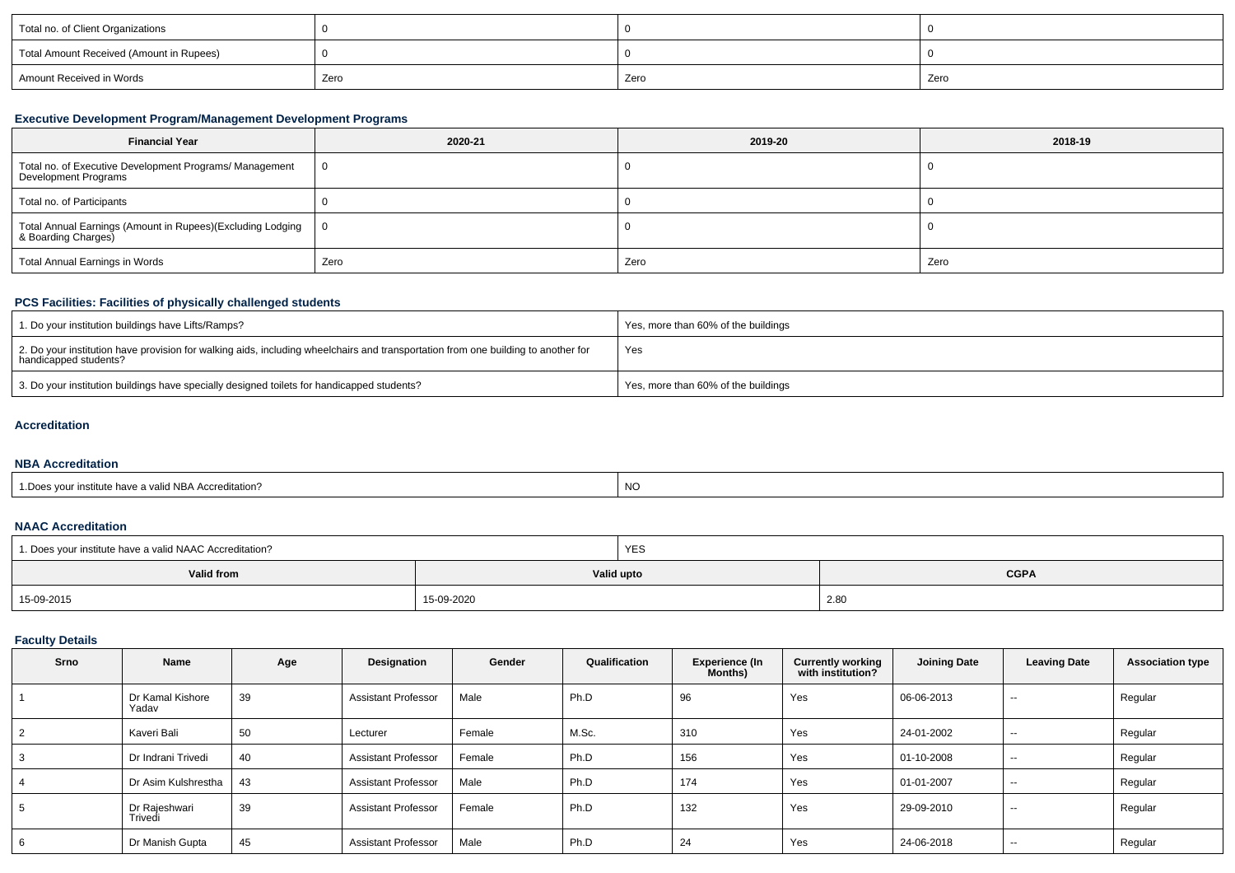| Total no. of Client Organizations        |      |      |      |
|------------------------------------------|------|------|------|
| Total Amount Received (Amount in Rupees) |      |      |      |
| Amount Received in Words                 | Zero | Zero | Zero |

## **Executive Development Program/Management Development Programs**

| <b>Financial Year</b>                                                             | 2020-21 | 2019-20 | 2018-19 |  |
|-----------------------------------------------------------------------------------|---------|---------|---------|--|
| Total no. of Executive Development Programs/ Management<br>Development Programs   |         |         |         |  |
| Total no. of Participants                                                         |         |         |         |  |
| Total Annual Earnings (Amount in Rupees)(Excluding Lodging<br>& Boarding Charges) | - 0     |         |         |  |
| Total Annual Earnings in Words                                                    | Zero    | Zero    | Zero    |  |

## **PCS Facilities: Facilities of physically challenged students**

| 1. Do your institution buildings have Lifts/Ramps?                                                                                                         | Yes, more than 60% of the buildings |
|------------------------------------------------------------------------------------------------------------------------------------------------------------|-------------------------------------|
| 2. Do your institution have provision for walking aids, including wheelchairs and transportation from one building to another for<br>handicapped students? | Yes                                 |
| 3. Do your institution buildings have specially designed toilets for handicapped students?                                                                 | Yes, more than 60% of the buildings |

# **Accreditation**

#### **NBA Accreditation**

| creditation?<br>a valid NBA ACC<br>e nave a<br>18HL | <sub>NO</sub> |
|-----------------------------------------------------|---------------|
|                                                     |               |

#### **NAAC Accreditation**

| 1. Does your institute have a valid NAAC Accreditation? |            | <b>YES</b> |             |  |  |
|---------------------------------------------------------|------------|------------|-------------|--|--|
| Valid from                                              |            | Valid upto | <b>CGPA</b> |  |  |
| 15-09-2015                                              | 15-09-2020 |            | 2.80        |  |  |

# **Faculty Details**

| Srno | Name                      | Age | Designation                | Gender | Qualification | <b>Experience (In</b><br><b>Months)</b> | <b>Currently working</b><br>with institution? | <b>Joining Date</b> | <b>Leaving Date</b>      | <b>Association type</b> |
|------|---------------------------|-----|----------------------------|--------|---------------|-----------------------------------------|-----------------------------------------------|---------------------|--------------------------|-------------------------|
|      | Dr Kamal Kishore<br>Yadav | 39  | <b>Assistant Professor</b> | Male   | Ph.D          | 96                                      | Yes                                           | 06-06-2013          | $\sim$                   | Regular                 |
|      | Kaveri Bali               | 50  | Lecturer                   | Female | M.Sc.         | 310                                     | Yes                                           | 24-01-2002          | $\sim$                   | Regular                 |
|      | Dr Indrani Trivedi        | 40  | <b>Assistant Professor</b> | Female | Ph.D          | 156                                     | Yes                                           | 01-10-2008          | $\overline{\phantom{a}}$ | Regular                 |
|      | Dr Asim Kulshrestha       | 43  | <b>Assistant Professor</b> | Male   | Ph.D          | 174                                     | Yes                                           | 01-01-2007          | $\sim$                   | Regular                 |
|      | Dr Raieshwari<br>Trivedi  | 39  | <b>Assistant Professor</b> | Female | Ph.D          | 132                                     | Yes                                           | 29-09-2010          | $\sim$                   | Regular                 |
|      | Dr Manish Gupta           | 45  | <b>Assistant Professor</b> | Male   | Ph.D          | 24                                      | Yes                                           | 24-06-2018          | $\sim$                   | Regular                 |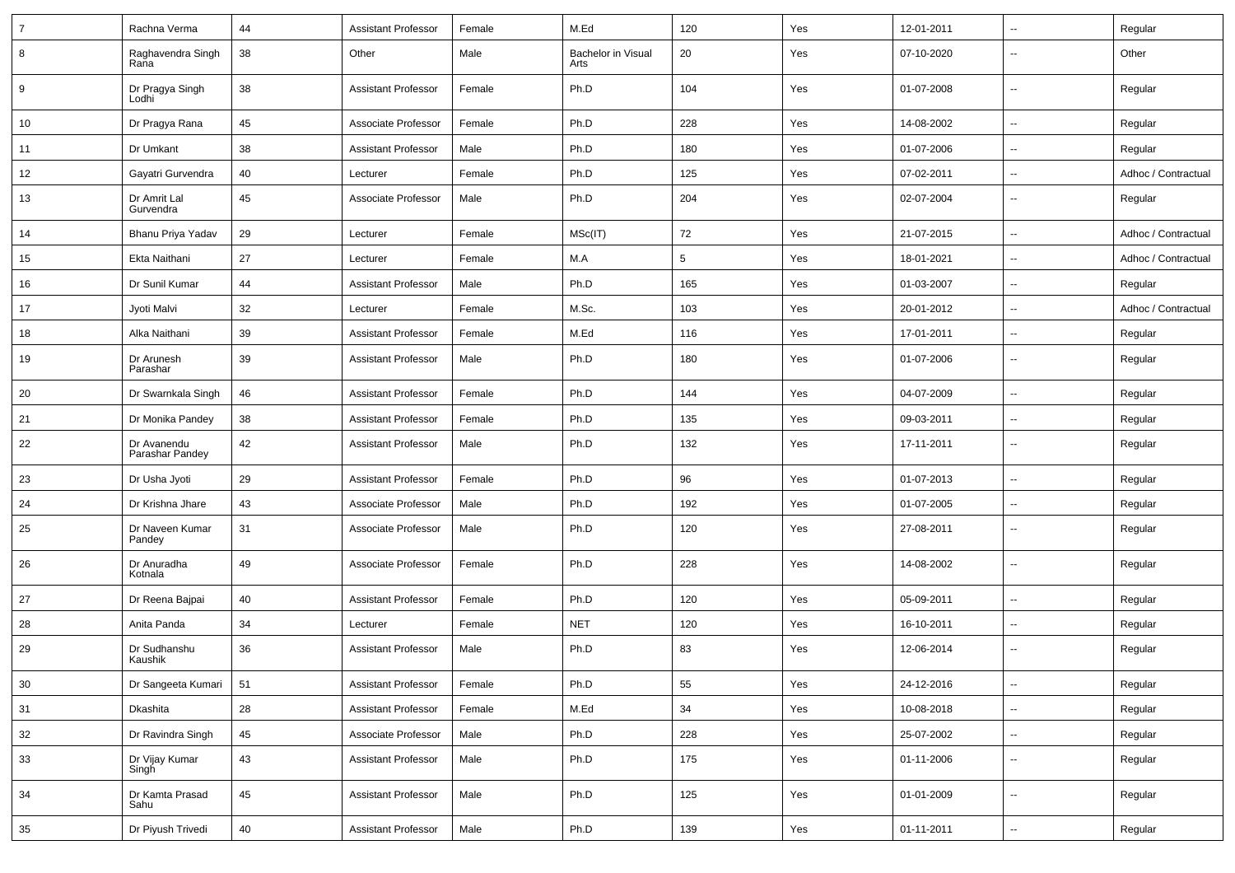| 7      | Rachna Verma                   | 44 | <b>Assistant Professor</b> | Female | M.Ed                       | 120 | Yes | 12-01-2011 | $\overline{\phantom{a}}$ | Regular             |
|--------|--------------------------------|----|----------------------------|--------|----------------------------|-----|-----|------------|--------------------------|---------------------|
| 8      | Raghavendra Singh<br>Rana      | 38 | Other                      | Male   | Bachelor in Visual<br>Arts | 20  | Yes | 07-10-2020 | $\overline{\phantom{a}}$ | Other               |
| 9      | Dr Pragya Singh<br>Lodhi       | 38 | <b>Assistant Professor</b> | Female | Ph.D                       | 104 | Yes | 01-07-2008 | Ξ.                       | Regular             |
| 10     | Dr Pragya Rana                 | 45 | Associate Professor        | Female | Ph.D                       | 228 | Yes | 14-08-2002 | Ξ.                       | Regular             |
| 11     | Dr Umkant                      | 38 | <b>Assistant Professor</b> | Male   | Ph.D                       | 180 | Yes | 01-07-2006 | --                       | Regular             |
| 12     | Gayatri Gurvendra              | 40 | Lecturer                   | Female | Ph.D                       | 125 | Yes | 07-02-2011 | $\overline{\phantom{a}}$ | Adhoc / Contractual |
| 13     | Dr Amrit Lal<br>Gurvendra      | 45 | Associate Professor        | Male   | Ph.D                       | 204 | Yes | 02-07-2004 | Ξ.                       | Regular             |
| 14     | Bhanu Priya Yadav              | 29 | Lecturer                   | Female | MSc(IT)                    | 72  | Yes | 21-07-2015 | Ц.                       | Adhoc / Contractual |
| 15     | Ekta Naithani                  | 27 | Lecturer                   | Female | M.A                        | 5   | Yes | 18-01-2021 | Ξ.                       | Adhoc / Contractual |
| 16     | Dr Sunil Kumar                 | 44 | <b>Assistant Professor</b> | Male   | Ph.D                       | 165 | Yes | 01-03-2007 | $\overline{\phantom{a}}$ | Regular             |
| 17     | Jyoti Malvi                    | 32 | Lecturer                   | Female | M.Sc.                      | 103 | Yes | 20-01-2012 | Ξ.                       | Adhoc / Contractual |
| 18     | Alka Naithani                  | 39 | <b>Assistant Professor</b> | Female | M.Ed                       | 116 | Yes | 17-01-2011 | --                       | Regular             |
| 19     | Dr Arunesh<br>Parashar         | 39 | <b>Assistant Professor</b> | Male   | Ph.D                       | 180 | Yes | 01-07-2006 | --                       | Regular             |
| 20     | Dr Swarnkala Singh             | 46 | <b>Assistant Professor</b> | Female | Ph.D                       | 144 | Yes | 04-07-2009 | Ξ.                       | Regular             |
| 21     | Dr Monika Pandey               | 38 | <b>Assistant Professor</b> | Female | Ph.D                       | 135 | Yes | 09-03-2011 | Ξ.                       | Regular             |
| 22     | Dr Avanendu<br>Parashar Pandey | 42 | <b>Assistant Professor</b> | Male   | Ph.D                       | 132 | Yes | 17-11-2011 | $\overline{\phantom{a}}$ | Regular             |
| 23     | Dr Usha Jyoti                  | 29 | <b>Assistant Professor</b> | Female | Ph.D                       | 96  | Yes | 01-07-2013 | Ц.                       | Regular             |
| 24     | Dr Krishna Jhare               | 43 | Associate Professor        | Male   | Ph.D                       | 192 | Yes | 01-07-2005 | $\overline{\phantom{a}}$ | Regular             |
| 25     | Dr Naveen Kumar<br>Pandey      | 31 | Associate Professor        | Male   | Ph.D                       | 120 | Yes | 27-08-2011 | $\overline{\phantom{a}}$ | Regular             |
| 26     | Dr Anuradha<br>Kotnala         | 49 | Associate Professor        | Female | Ph.D                       | 228 | Yes | 14-08-2002 | Ξ.                       | Regular             |
| 27     | Dr Reena Bajpai                | 40 | <b>Assistant Professor</b> | Female | Ph.D                       | 120 | Yes | 05-09-2011 | Ξ.                       | Regular             |
| 28     | Anita Panda                    | 34 | Lecturer                   | Female | <b>NET</b>                 | 120 | Yes | 16-10-2011 | $\overline{\phantom{a}}$ | Regular             |
| 29     | Dr Sudhanshu<br>Kaushik        | 36 | <b>Assistant Professor</b> | Male   | Ph.D                       | 83  | Yes | 12-06-2014 | $\overline{\phantom{a}}$ | Regular             |
| $30\,$ | Dr Sangeeta Kumari             | 51 | <b>Assistant Professor</b> | Female | Ph.D                       | 55  | Yes | 24-12-2016 | ÷,                       | Regular             |
| 31     | Dkashita                       | 28 | <b>Assistant Professor</b> | Female | M.Ed                       | 34  | Yes | 10-08-2018 | ÷,                       | Regular             |
| 32     | Dr Ravindra Singh              | 45 | Associate Professor        | Male   | Ph.D                       | 228 | Yes | 25-07-2002 | $\overline{\phantom{a}}$ | Regular             |
| 33     | Dr Vijay Kumar<br>Singh        | 43 | <b>Assistant Professor</b> | Male   | Ph.D                       | 175 | Yes | 01-11-2006 | Ξ.                       | Regular             |
| 34     | Dr Kamta Prasad<br>Sahu        | 45 | <b>Assistant Professor</b> | Male   | Ph.D                       | 125 | Yes | 01-01-2009 | --                       | Regular             |
| 35     | Dr Piyush Trivedi              | 40 | <b>Assistant Professor</b> | Male   | Ph.D                       | 139 | Yes | 01-11-2011 | ₩,                       | Regular             |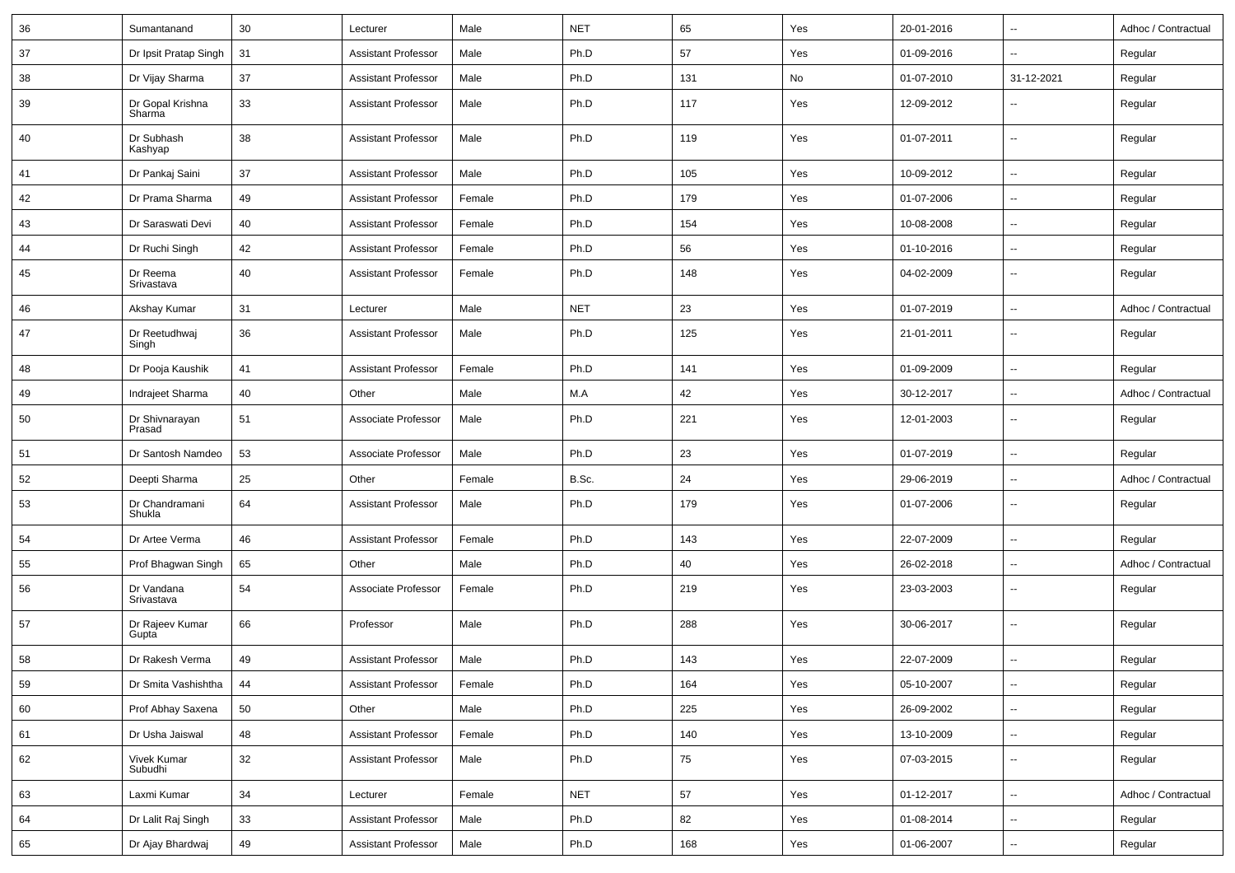| 36 | Sumantanand                | 30 | Lecturer                   | Male   | <b>NET</b> | 65  | Yes | 20-01-2016 | $\overline{\phantom{a}}$ | Adhoc / Contractual |
|----|----------------------------|----|----------------------------|--------|------------|-----|-----|------------|--------------------------|---------------------|
| 37 | Dr Ipsit Pratap Singh      | 31 | <b>Assistant Professor</b> | Male   | Ph.D       | 57  | Yes | 01-09-2016 | $\overline{\phantom{a}}$ | Regular             |
| 38 | Dr Vijay Sharma            | 37 | <b>Assistant Professor</b> | Male   | Ph.D       | 131 | No  | 01-07-2010 | 31-12-2021               | Regular             |
| 39 | Dr Gopal Krishna<br>Sharma | 33 | <b>Assistant Professor</b> | Male   | Ph.D       | 117 | Yes | 12-09-2012 | --                       | Regular             |
| 40 | Dr Subhash<br>Kashyap      | 38 | <b>Assistant Professor</b> | Male   | Ph.D       | 119 | Yes | 01-07-2011 | $\overline{\phantom{a}}$ | Regular             |
| 41 | Dr Pankaj Saini            | 37 | <b>Assistant Professor</b> | Male   | Ph.D       | 105 | Yes | 10-09-2012 | $\overline{\phantom{a}}$ | Regular             |
| 42 | Dr Prama Sharma            | 49 | <b>Assistant Professor</b> | Female | Ph.D       | 179 | Yes | 01-07-2006 | $\overline{\phantom{a}}$ | Regular             |
| 43 | Dr Saraswati Devi          | 40 | <b>Assistant Professor</b> | Female | Ph.D       | 154 | Yes | 10-08-2008 | $\overline{a}$           | Regular             |
| 44 | Dr Ruchi Singh             | 42 | <b>Assistant Professor</b> | Female | Ph.D       | 56  | Yes | 01-10-2016 | u.                       | Regular             |
| 45 | Dr Reema<br>Srivastava     | 40 | <b>Assistant Professor</b> | Female | Ph.D       | 148 | Yes | 04-02-2009 | $\overline{\phantom{a}}$ | Regular             |
| 46 | Akshay Kumar               | 31 | Lecturer                   | Male   | <b>NET</b> | 23  | Yes | 01-07-2019 | $\overline{\phantom{a}}$ | Adhoc / Contractual |
| 47 | Dr Reetudhwaj<br>Singh     | 36 | <b>Assistant Professor</b> | Male   | Ph.D       | 125 | Yes | 21-01-2011 | --                       | Regular             |
| 48 | Dr Pooja Kaushik           | 41 | <b>Assistant Professor</b> | Female | Ph.D       | 141 | Yes | 01-09-2009 | u.                       | Regular             |
| 49 | Indrajeet Sharma           | 40 | Other                      | Male   | M.A        | 42  | Yes | 30-12-2017 | $\overline{\phantom{a}}$ | Adhoc / Contractual |
| 50 | Dr Shivnarayan<br>Prasad   | 51 | Associate Professor        | Male   | Ph.D       | 221 | Yes | 12-01-2003 | --                       | Regular             |
| 51 | Dr Santosh Namdeo          | 53 | Associate Professor        | Male   | Ph.D       | 23  | Yes | 01-07-2019 | $\overline{\phantom{a}}$ | Regular             |
| 52 | Deepti Sharma              | 25 | Other                      | Female | B.Sc.      | 24  | Yes | 29-06-2019 | $\overline{\phantom{a}}$ | Adhoc / Contractual |
| 53 | Dr Chandramani<br>Shukla   | 64 | <b>Assistant Professor</b> | Male   | Ph.D       | 179 | Yes | 01-07-2006 | $\overline{\phantom{a}}$ | Regular             |
| 54 | Dr Artee Verma             | 46 | <b>Assistant Professor</b> | Female | Ph.D       | 143 | Yes | 22-07-2009 | u.                       | Regular             |
| 55 | Prof Bhagwan Singh         | 65 | Other                      | Male   | Ph.D       | 40  | Yes | 26-02-2018 | --                       | Adhoc / Contractual |
| 56 | Dr Vandana<br>Srivastava   | 54 | Associate Professor        | Female | Ph.D       | 219 | Yes | 23-03-2003 | --                       | Regular             |
| 57 | Dr Rajeev Kumar<br>Gupta   | 66 | Professor                  | Male   | Ph.D       | 288 | Yes | 30-06-2017 | --                       | Regular             |
| 58 | Dr Rakesh Verma            | 49 | <b>Assistant Professor</b> | Male   | Ph.D       | 143 | Yes | 22-07-2009 |                          | Regular             |
| 59 | Dr Smita Vashishtha        | 44 | <b>Assistant Professor</b> | Female | Ph.D       | 164 | Yes | 05-10-2007 | Ξ.                       | Regular             |
| 60 | Prof Abhay Saxena          | 50 | Other                      | Male   | Ph.D       | 225 | Yes | 26-09-2002 | Ξ.                       | Regular             |
| 61 | Dr Usha Jaiswal            | 48 | <b>Assistant Professor</b> | Female | Ph.D       | 140 | Yes | 13-10-2009 | Ξ.                       | Regular             |
| 62 | Vivek Kumar<br>Subudhi     | 32 | <b>Assistant Professor</b> | Male   | Ph.D       | 75  | Yes | 07-03-2015 | Ξ.                       | Regular             |
| 63 | Laxmi Kumar                | 34 | Lecturer                   | Female | <b>NET</b> | 57  | Yes | 01-12-2017 | Щ,                       | Adhoc / Contractual |
| 64 | Dr Lalit Raj Singh         | 33 | <b>Assistant Professor</b> | Male   | Ph.D       | 82  | Yes | 01-08-2014 | Ξ.                       | Regular             |
| 65 | Dr Ajay Bhardwaj           | 49 | <b>Assistant Professor</b> | Male   | Ph.D       | 168 | Yes | 01-06-2007 | $\overline{\phantom{a}}$ | Regular             |